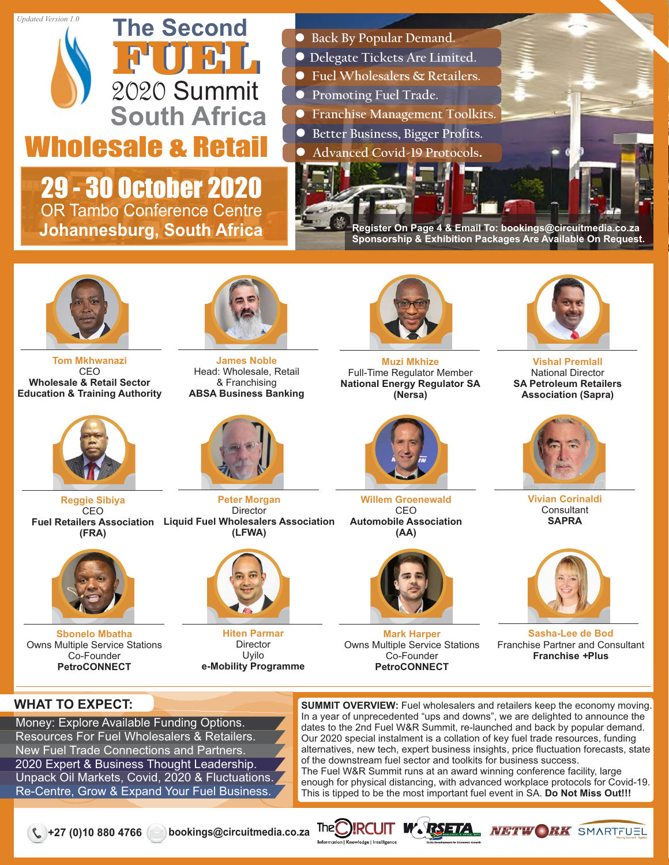#### *Updated Version 1.0*



29 - 30 October 2020 OR Tambo Conference Centre **Johannesburg, South Africa**

- **Back By Popular Demand.**
- **Delegate Tickets Are Limited.**
- **Fuel Wholesalers & Retailers.**
- **Promoting Fuel Trade.**
- **Franchise Management Toolkits.**
- **Better Business, Bigger Profits.**
- **Advanced Covid-19 Protocols.**

**Register On Page 4 & Email To: bookings@circuitmedia.co.za Sponsorship & Exhibition Packages Are Available On Request.**



**Tom Mkhwanazi** CEO **Wholesale & Retail Sector Education & Training Authority**



**Fuel Retailers Association Liquid Fuel Wholesalers Association Reggie Sibiya CEO (FRA)**



**Sbonelo Mbatha** Owns Multiple Service Stations Co-Founder **PetroCONNECT**



**James Noble** Head: Wholesale, Retail & Franchising **ABSA Business Banking**



**Peter Morgan Director (LFWA)**



**Hiten Parmar** Director Uyilo **e-Mobility Programme**



**Muzi Mkhize** Full-Time Regulator Member **National Energy Regulator SA (Nersa)**



**Willem Groenewald** CEO **Automobile Association (AA)**



**Mark Harper** Owns Multiple Service Stations Co-Founder **PetroCONNECT**



**Vishal Premlall** National Director **SA Petroleum Retailers Association (Sapra)**



**Vivian Corinaldi Consultant SAPRA**



**Sasha-Lee de Bod** Franchise Partner and Consultant **Franchise** *+***Plus**

## **WHAT TO EXPECT:**

Money: Explore Available Funding Options. Resources For Fuel Wholesalers & Retailers. New Fuel Trade Connections and Partners. 2020 Expert & Business Thought Leadership. Unpack Oil Markets, Covid, 2020 & Fluctuations. Re-Centre, Grow & Expand Your Fuel Business.

**SUMMIT OVERVIEW:** Fuel wholesalers and retailers keep the economy moving. In a year of unprecedented "ups and downs", we are delighted to announce the dates to the 2nd Fuel W&R Summit, re-launched and back by popular demand. Our 2020 special instalment is a collation of key fuel trade resources, funding alternatives, new tech, expert business insights, price fluctuation forecasts, state of the downstream fuel sector and toolkits for business success. The Fuel W&R Summit runs at an award winning conference facility, large enough for physical distancing, with advanced workplace protocols for Covid-19. This is tipped to be the most important fuel event in SA. **Do Not Miss Out!!!**

**+27 (0)10 880 4766 bookings@circuitmedia.co.za**



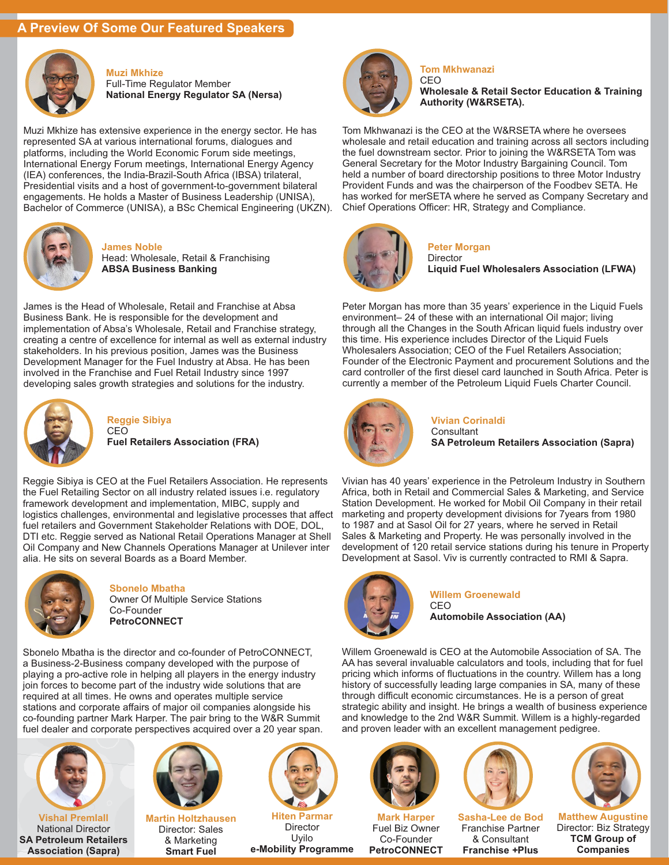### **A Preview Of Some Our Featured Speakers**



#### **Muzi Mkhize** Full-Time Regulator Member **National Energy Regulator SA (Nersa)**

Muzi Mkhize has extensive experience in the energy sector. He has represented SA at various international forums, dialogues and platforms, including the World Economic Forum side meetings, International Energy Forum meetings, International Energy Agency (IEA) conferences, the India-Brazil-South Africa (IBSA) trilateral, Presidential visits and a host of government-to-government bilateral engagements. He holds a Master of Business Leadership (UNISA), Bachelor of Commerce (UNISA), a BSc Chemical Engineering (UKZN).



**James Noble** Head: Wholesale, Retail & Franchising **ABSA Business Banking**

James is the Head of Wholesale, Retail and Franchise at Absa Business Bank. He is responsible for the development and implementation of Absa's Wholesale, Retail and Franchise strategy, creating a centre of excellence for internal as well as external industry stakeholders. In his previous position, James was the Business Development Manager for the Fuel Industry at Absa. He has been involved in the Franchise and Fuel Retail Industry since 1997 developing sales growth strategies and solutions for the industry.



#### **Reggie Sibiya** CEO

**Fuel Retailers Association (FRA)**

Reggie Sibiya is CEO at the Fuel Retailers Association. He represents the Fuel Retailing Sector on all industry related issues i.e. regulatory framework development and implementation, MIBC, supply and logistics challenges, environmental and legislative processes that affect fuel retailers and Government Stakeholder Relations with DOE, DOL, DTI etc. Reggie served as National Retail Operations Manager at Shell Oil Company and New Channels Operations Manager at Unilever inter alia. He sits on several Boards as a Board Member.



**Sbonelo Mbatha** Owner Of Multiple Service Stations Co-Founder **PetroCONNECT**

Sbonelo Mbatha is the director and co-founder of PetroCONNECT, a Business-2-Business company developed with the purpose of playing a pro-active role in helping all players in the energy industry join forces to become part of the industry wide solutions that are required at all times. He owns and operates multiple service stations and corporate affairs of major oil companies alongside his co-founding partner Mark Harper. The pair bring to the W&R Summit fuel dealer and corporate perspectives acquired over a 20 year span.



**Vishal Premlall** National Director **SA Petroleum Retailers Association (Sapra)**



**Martin Holtzhausen** Director: Sales & Marketing **Smart Fuel**



**Hiten Parmar** Director Uyilo **e-Mobility Programme**



#### **Tom Mkhwanazi** CEO

**Wholesale & Retail Sector Education & Training Authority (W&RSETA).**

Tom Mkhwanazi is the CEO at the W&RSETA where he oversees wholesale and retail education and training across all sectors including the fuel downstream sector. Prior to joining the W&RSETA Tom was General Secretary for the Motor Industry Bargaining Council. Tom held a number of board directorship positions to three Motor Industry Provident Funds and was the chairperson of the Foodbev SETA. He has worked for merSETA where he served as Company Secretary and Chief Operations Officer: HR, Strategy and Compliance.



**Peter Morgan** Director

**Liquid Fuel Wholesalers Association (LFWA)**

Peter Morgan has more than 35 years' experience in the Liquid Fuels environment– 24 of these with an international Oil major; living through all the Changes in the South African liquid fuels industry over this time. His experience includes Director of the Liquid Fuels Wholesalers Association; CEO of the Fuel Retailers Association; Founder of the Electronic Payment and procurement Solutions and the card controller of the first diesel card launched in South Africa. Peter is currently a member of the Petroleum Liquid Fuels Charter Council.



**Vivian Corinaldi Consultant SA Petroleum Retailers Association (Sapra)**

Vivian has 40 years' experience in the Petroleum Industry in Southern Africa, both in Retail and Commercial Sales & Marketing, and Service Station Development. He worked for Mobil Oil Company in their retail marketing and property development divisions for 7years from 1980 to 1987 and at Sasol Oil for 27 years, where he served in Retail Sales & Marketing and Property. He was personally involved in the development of 120 retail service stations during his tenure in Property Development at Sasol. Viv is currently contracted to RMI & Sapra.



**Willem Groenewald** CEO

**Automobile Association (AA)**

Willem Groenewald is CEO at the Automobile Association of SA. The AA has several invaluable calculators and tools, including that for fuel pricing which informs of fluctuations in the country. Willem has a long history of successfully leading large companies in SA, many of these through difficult economic circumstances. He is a person of great strategic ability and insight. He brings a wealth of business experience and knowledge to the 2nd W&R Summit. Willem is a highly-regarded and proven leader with an excellent management pedigree.



Fuel Biz Owner Co-Founder **PetroCONNECT**



**Sasha-Lee de Bod** Franchise Partner & Consultant **Franchise** *+***Plus**



**Matthew Augustine** Director: Biz Strategy **TCM Group of Companies**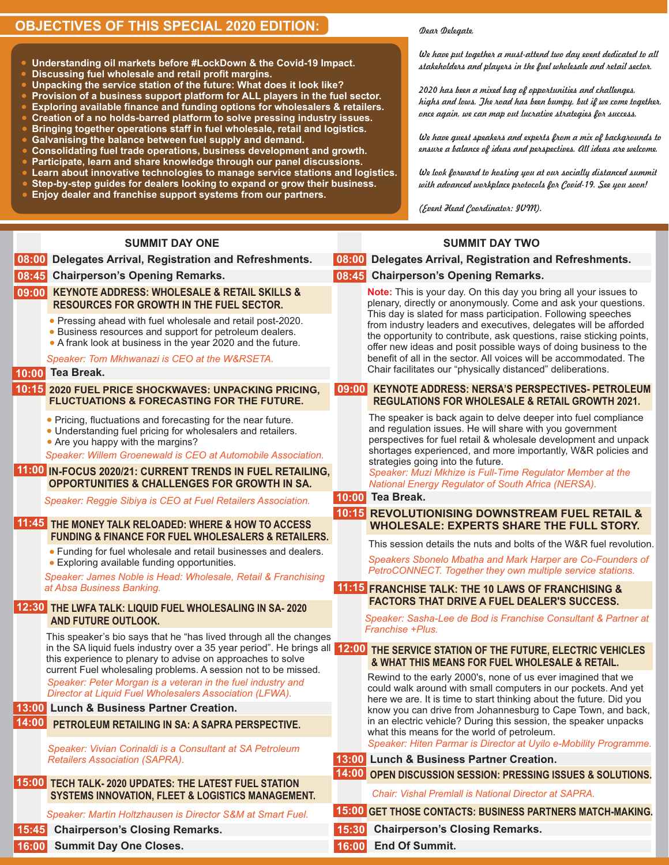## **OBJECTIVES OF THIS SPECIAL 2020 EDITION:**

**Galvanising the balance between fuel supply and demand.**

**Enjoy dealer and franchise support systems from our partners.**

**Discussing fuel wholesale and retail profit margins.**

**Understanding oil markets before #LockDown & the Covid-19 Impact.**

**Consolidating fuel trade operations, business development and growth. Participate, learn and share knowledge through our panel discussions. Learn about innovative technologies to manage service stations and logistics. Step-by-step guides for dealers looking to expand or grow their business.**

**Unpacking the service station of the future: What does it look like? Provision of a business support platform for ALL players in the fuel sector. Exploring available finance and funding options for wholesalers & retailers. Creation of a no holds-barred platform to solve pressing industry issues. Bringing together operations staff in fuel wholesale, retail and logistics.**

#### *Dear Delegate,*

*We have put together a must-attend two day event dedicated to all stakeholders and players in the fuel wholesale and retail sector.*

*2020 has been a mixed bag of opportunities and challenges, highs and lows. The road has been bumpy, but if we come together, once again, we can map out lucrative strategies for success.*

*We have guest speakers and experts from a mix of backgrounds to ensure a balance of ideas and perspectives. All ideas are welcome.*

*We look forward to hosting you at our socially distanced summit with advanced workplace protocols for Covid-19. See you soon!*

*(Event Head Coordinator: IVM).*

| <b>SUMMIT DAY ONE</b>                                                                                                                                                                                                                                                                                                                                              | <b>SUMMIT DAY TWO</b>                                                                                                                                                                                                                                                                                                                                                                                                                                                                                                                                    |  |
|--------------------------------------------------------------------------------------------------------------------------------------------------------------------------------------------------------------------------------------------------------------------------------------------------------------------------------------------------------------------|----------------------------------------------------------------------------------------------------------------------------------------------------------------------------------------------------------------------------------------------------------------------------------------------------------------------------------------------------------------------------------------------------------------------------------------------------------------------------------------------------------------------------------------------------------|--|
| 08:00 <br>Delegates Arrival, Registration and Refreshments.                                                                                                                                                                                                                                                                                                        | 08:00 <br>Delegates Arrival, Registration and Refreshments.                                                                                                                                                                                                                                                                                                                                                                                                                                                                                              |  |
| <b>Chairperson's Opening Remarks.</b><br>08:45                                                                                                                                                                                                                                                                                                                     | 08:45 Chairperson's Opening Remarks.                                                                                                                                                                                                                                                                                                                                                                                                                                                                                                                     |  |
| 09:00 KEYNOTE ADDRESS: WHOLESALE & RETAIL SKILLS &<br><b>RESOURCES FOR GROWTH IN THE FUEL SECTOR.</b><br>• Pressing ahead with fuel wholesale and retail post-2020.<br>• Business resources and support for petroleum dealers.<br>• A frank look at business in the year 2020 and the future.<br>Speaker: Tom Mkhwanazi is CEO at the W&RSETA.<br>10:00 Tea Break. | Note: This is your day. On this day you bring all your issues to<br>plenary, directly or anonymously. Come and ask your questions.<br>This day is slated for mass participation. Following speeches<br>from industry leaders and executives, delegates will be afforded<br>the opportunity to contribute, ask questions, raise sticking points,<br>offer new ideas and posit possible ways of doing business to the<br>benefit of all in the sector. All voices will be accommodated. The<br>Chair facilitates our "physically distanced" deliberations. |  |
| 10:15 2020 FUEL PRICE SHOCKWAVES: UNPACKING PRICING,<br><b>FLUCTUATIONS &amp; FORECASTING FOR THE FUTURE.</b>                                                                                                                                                                                                                                                      | <b>KEYNOTE ADDRESS: NERSA'S PERSPECTIVES- PETROLEUM</b><br> 09:00 <br><b>REGULATIONS FOR WHOLESALE &amp; RETAIL GROWTH 2021.</b>                                                                                                                                                                                                                                                                                                                                                                                                                         |  |
| • Pricing, fluctuations and forecasting for the near future.<br>• Understanding fuel pricing for wholesalers and retailers.<br>• Are you happy with the margins?<br>Speaker: Willem Groenewald is CEO at Automobile Association.                                                                                                                                   | The speaker is back again to delve deeper into fuel compliance<br>and regulation issues. He will share with you government<br>perspectives for fuel retail & wholesale development and unpack<br>shortages experienced, and more importantly, W&R policies and<br>strategies going into the future.                                                                                                                                                                                                                                                      |  |
| 11:00 IN-FOCUS 2020/21: CURRENT TRENDS IN FUEL RETAILING,<br><b>OPPORTUNITIES &amp; CHALLENGES FOR GROWTH IN SA.</b>                                                                                                                                                                                                                                               | Speaker: Muzi Mkhize is Full-Time Regulator Member at the<br><b>National Energy Regulator of South Africa (NERSA).</b>                                                                                                                                                                                                                                                                                                                                                                                                                                   |  |
| Speaker: Reggie Sibiya is CEO at Fuel Retailers Association.                                                                                                                                                                                                                                                                                                       | Tea Break.<br>10:00                                                                                                                                                                                                                                                                                                                                                                                                                                                                                                                                      |  |
| 11:45 THE MONEY TALK RELOADED: WHERE & HOW TO ACCESS<br><b>FUNDING &amp; FINANCE FOR FUEL WHOLESALERS &amp; RETAILERS.</b><br>• Funding for fuel wholesale and retail businesses and dealers.<br>• Exploring available funding opportunities.<br>Speaker: James Noble is Head: Wholesale, Retail & Franchising<br>at Absa Business Banking.                        | <b>10:15 REVOLUTIONISING DOWNSTREAM FUEL RETAIL &amp;</b><br><b>WHOLESALE: EXPERTS SHARE THE FULL STORY.</b><br>This session details the nuts and bolts of the W&R fuel revolution.<br>Speakers Sbonelo Mbatha and Mark Harper are Co-Founders of<br>PetroCONNECT. Together they own multiple service stations.<br>11:15 FRANCHISE TALK: THE 10 LAWS OF FRANCHISING &                                                                                                                                                                                    |  |
| 12:30 THE LWFA TALK: LIQUID FUEL WHOLESALING IN SA-2020<br><b>AND FUTURE OUTLOOK.</b>                                                                                                                                                                                                                                                                              | <b>FACTORS THAT DRIVE A FUEL DEALER'S SUCCESS.</b><br>Speaker: Sasha-Lee de Bod is Franchise Consultant & Partner at<br>Franchise +Plus.                                                                                                                                                                                                                                                                                                                                                                                                                 |  |
| This speaker's bio says that he "has lived through all the changes<br>in the SA liquid fuels industry over a 35 year period". He brings all 12:00<br>this experience to plenary to advise on approaches to solve<br>current Fuel wholesaling problems. A session not to be missed.<br>Speaker: Peter Morgan is a veteran in the fuel industry and                  | THE SERVICE STATION OF THE FUTURE, ELECTRIC VEHICLES<br>& WHAT THIS MEANS FOR FUEL WHOLESALE & RETAIL.<br>Rewind to the early 2000's, none of us ever imagined that we                                                                                                                                                                                                                                                                                                                                                                                   |  |
| Director at Liquid Fuel Wholesalers Association (LFWA).                                                                                                                                                                                                                                                                                                            | could walk around with small computers in our pockets. And yet<br>here we are. It is time to start thinking about the future. Did you                                                                                                                                                                                                                                                                                                                                                                                                                    |  |
| 13:00 Lunch & Business Partner Creation.                                                                                                                                                                                                                                                                                                                           | know you can drive from Johannesburg to Cape Town, and back,                                                                                                                                                                                                                                                                                                                                                                                                                                                                                             |  |
| 14:00 PETROLEUM RETAILING IN SA: A SAPRA PERSPECTIVE.                                                                                                                                                                                                                                                                                                              | in an electric vehicle? During this session, the speaker unpacks<br>what this means for the world of petroleum.                                                                                                                                                                                                                                                                                                                                                                                                                                          |  |
| Speaker: Vivian Corinaldi is a Consultant at SA Petroleum<br><b>Retailers Association (SAPRA).</b>                                                                                                                                                                                                                                                                 | Speaker: Hiten Parmar is Director at Uyilo e-Mobility Programme.<br>13:00 Lunch & Business Partner Creation.                                                                                                                                                                                                                                                                                                                                                                                                                                             |  |
|                                                                                                                                                                                                                                                                                                                                                                    | 14:00 OPEN DISCUSSION SESSION: PRESSING ISSUES & SOLUTIONS.                                                                                                                                                                                                                                                                                                                                                                                                                                                                                              |  |
| 15:00 TECH TALK-2020 UPDATES: THE LATEST FUEL STATION<br><b>SYSTEMS INNOVATION, FLEET &amp; LOGISTICS MANAGEMENT.</b>                                                                                                                                                                                                                                              | Chair: Vishal Premlall is National Director at SAPRA.                                                                                                                                                                                                                                                                                                                                                                                                                                                                                                    |  |
| Speaker: Martin Holtzhausen is Director S&M at Smart Fuel.                                                                                                                                                                                                                                                                                                         | 15:00 GET THOSE CONTACTS: BUSINESS PARTNERS MATCH-MAKING.                                                                                                                                                                                                                                                                                                                                                                                                                                                                                                |  |
| <b>Chairperson's Closing Remarks.</b><br>15:45                                                                                                                                                                                                                                                                                                                     | <b>Chairperson's Closing Remarks.</b><br>15:30                                                                                                                                                                                                                                                                                                                                                                                                                                                                                                           |  |
| 16:00 Summit Day One Closes.                                                                                                                                                                                                                                                                                                                                       | 16:00 End Of Summit.                                                                                                                                                                                                                                                                                                                                                                                                                                                                                                                                     |  |